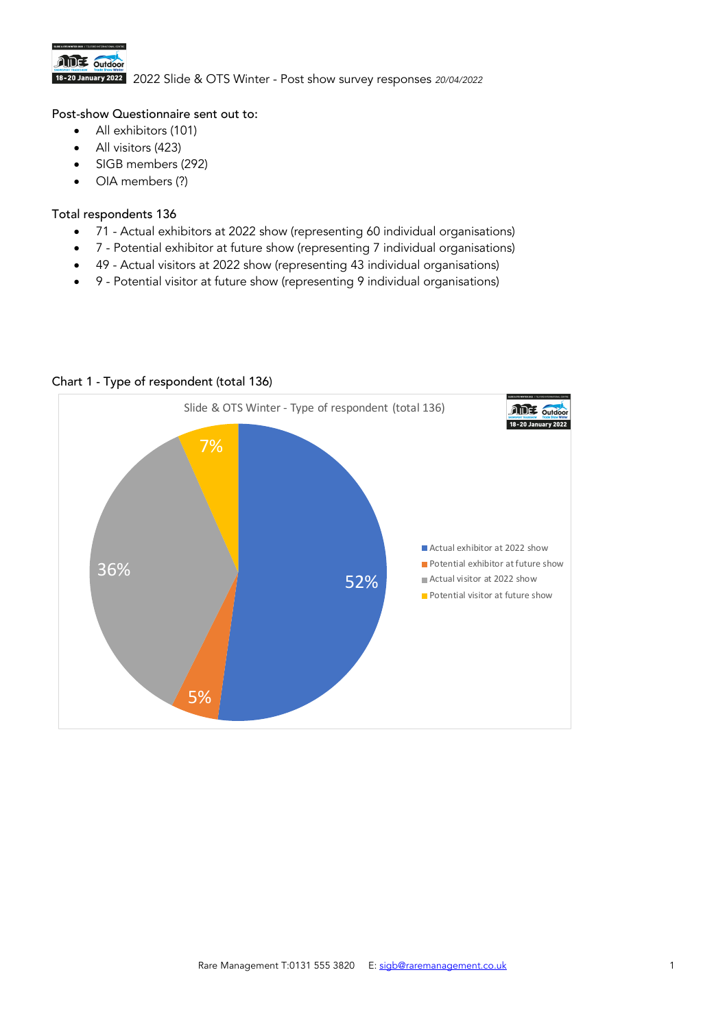

2022 Slide & OTS Winter - Post show survey responses *20/04/2022*

## Post-show Questionnaire sent out to:

- All exhibitors (101)
- All visitors (423)
- SIGB members (292)
- OIA members (?)

### Total respondents 136

- 71 Actual exhibitors at 2022 show (representing 60 individual organisations)
- 7 Potential exhibitor at future show (representing 7 individual organisations)
- 49 Actual visitors at 2022 show (representing 43 individual organisations)
- 9 Potential visitor at future show (representing 9 individual organisations)



# Chart 1 - Type of respondent (total 136)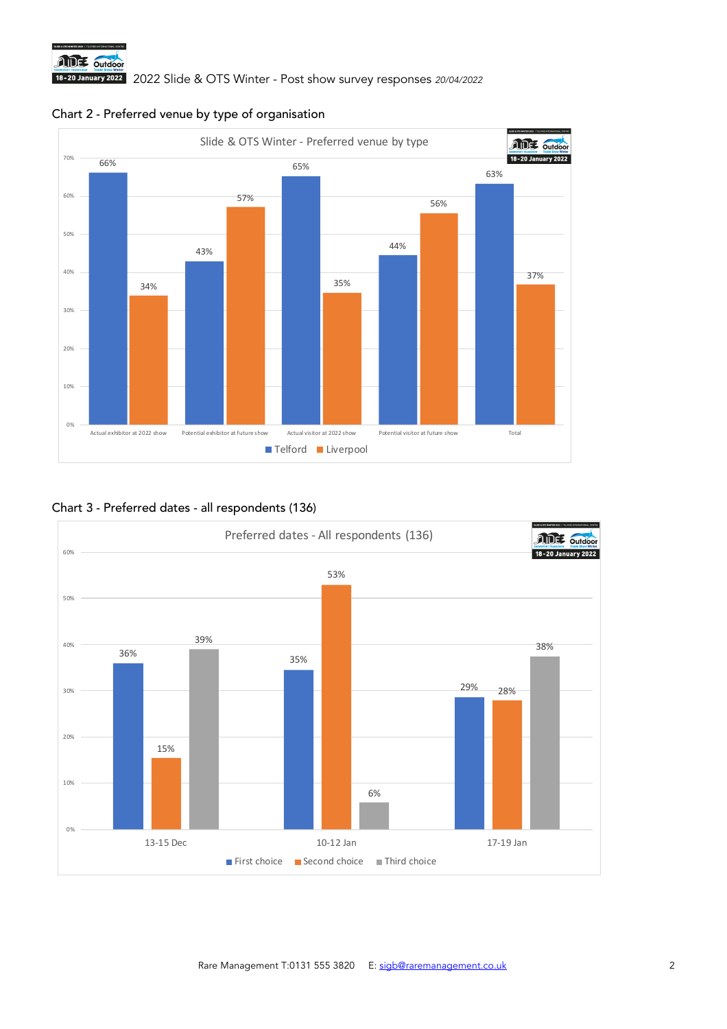





### Chart 3 - Preferred dates - all respondents (136)